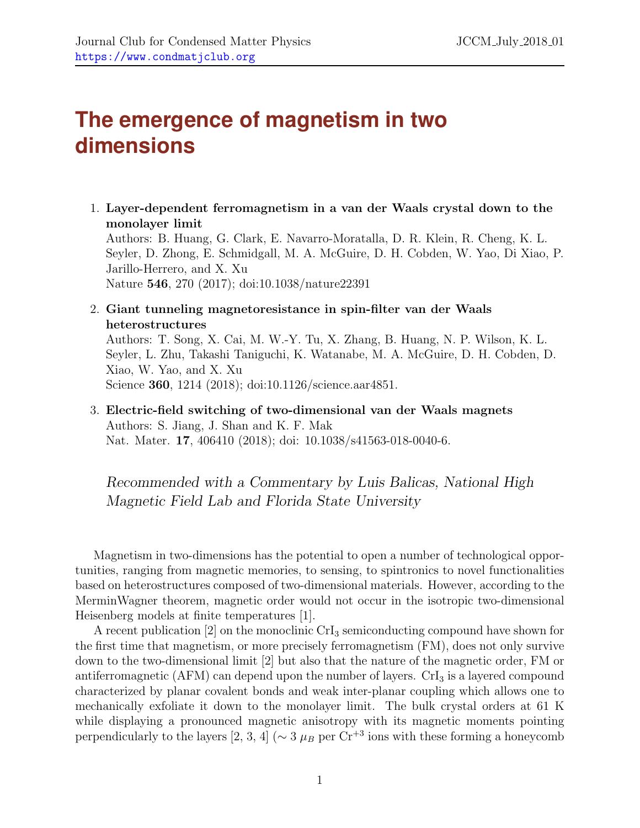## **The emergence of magnetism in two dimensions**

1. **Layer-dependent ferromagnetism in a van der Waals crystal down to the monolayer limit** Authors: B. Huang, G. Clark, E. Navarro-Moratalla, D. R. Klein, R. Cheng, K. L. Seyler, D. Zhong, E. Schmidgall, M. A. McGuire, D. H. Cobden, W. Yao, Di Xiao, P. Jarillo-Herrero, and X. Xu Nature **546**, 270 (2017); doi:10.1038/nature22391

2. **Giant tunneling magnetoresistance in spin-filter van der Waals heterostructures** Authors: T. Song, X. Cai, M. W.-Y. Tu, X. Zhang, B. Huang, N. P. Wilson, K. L. Seyler, L. Zhu, Takashi Taniguchi, K. Watanabe, M. A. McGuire, D. H. Cobden, D. Xiao, W. Yao, and X. Xu Science **360**, 1214 (2018); doi:10.1126/science.aar4851.

3. **Electric-field switching of two-dimensional van der Waals magnets** Authors: S. Jiang, J. Shan and K. F. Mak Nat. Mater. **17**, 406410 (2018); doi: 10.1038/s41563-018-0040-6.

*Recommended with a Commentary by Luis Balicas, National High Magnetic Field Lab and Florida State University*

Magnetism in two-dimensions has the potential to open a number of technological opportunities, ranging from magnetic memories, to sensing, to spintronics to novel functionalities based on heterostructures composed of two-dimensional materials. However, according to the MerminWagner theorem, magnetic order would not occur in the isotropic two-dimensional Heisenberg models at finite temperatures [1].

A recent publication  $[2]$  on the monoclinic CrI<sub>3</sub> semiconducting compound have shown for the first time that magnetism, or more precisely ferromagnetism (FM), does not only survive down to the two-dimensional limit [2] but also that the nature of the magnetic order, FM or antiferromagnetic (AFM) can depend upon the number of layers.  $\rm CrI<sub>3</sub>$  is a layered compound characterized by planar covalent bonds and weak inter-planar coupling which allows one to mechanically exfoliate it down to the monolayer limit. The bulk crystal orders at 61 K while displaying a pronounced magnetic anisotropy with its magnetic moments pointing perpendicularly to the layers [2, 3, 4] ( $\sim$  3  $\mu$ *B* per Cr<sup>+3</sup> ions with these forming a honeycomb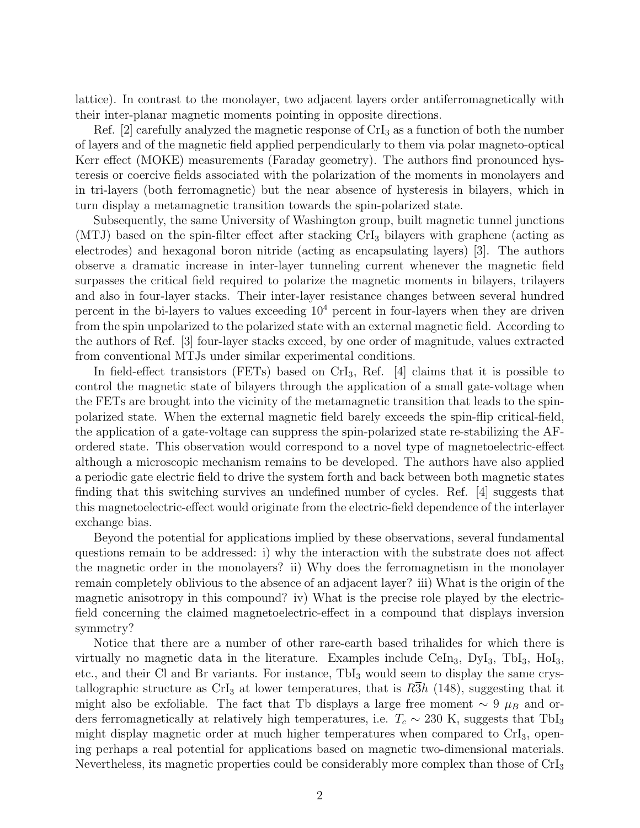lattice). In contrast to the monolayer, two adjacent layers order antiferromagnetically with their inter-planar magnetic moments pointing in opposite directions.

Ref. [2] carefully analyzed the magnetic response of  $CrI<sub>3</sub>$  as a function of both the number of layers and of the magnetic field applied perpendicularly to them via polar magneto-optical Kerr effect (MOKE) measurements (Faraday geometry). The authors find pronounced hysteresis or coercive fields associated with the polarization of the moments in monolayers and in tri-layers (both ferromagnetic) but the near absence of hysteresis in bilayers, which in turn display a metamagnetic transition towards the spin-polarized state.

Subsequently, the same University of Washington group, built magnetic tunnel junctions (MTJ) based on the spin-filter effect after stacking  $CrI<sub>3</sub>$  bilayers with graphene (acting as electrodes) and hexagonal boron nitride (acting as encapsulating layers) [3]. The authors observe a dramatic increase in inter-layer tunneling current whenever the magnetic field surpasses the critical field required to polarize the magnetic moments in bilayers, trilayers and also in four-layer stacks. Their inter-layer resistance changes between several hundred percent in the bi-layers to values exceeding  $10<sup>4</sup>$  percent in four-layers when they are driven from the spin unpolarized to the polarized state with an external magnetic field. According to the authors of Ref. [3] four-layer stacks exceed, by one order of magnitude, values extracted from conventional MTJs under similar experimental conditions.

In field-effect transistors (FETs) based on  $CrI_3$ , Ref. [4] claims that it is possible to control the magnetic state of bilayers through the application of a small gate-voltage when the FETs are brought into the vicinity of the metamagnetic transition that leads to the spinpolarized state. When the external magnetic field barely exceeds the spin-flip critical-field, the application of a gate-voltage can suppress the spin-polarized state re-stabilizing the AFordered state. This observation would correspond to a novel type of magnetoelectric-effect although a microscopic mechanism remains to be developed. The authors have also applied a periodic gate electric field to drive the system forth and back between both magnetic states finding that this switching survives an undefined number of cycles. Ref. [4] suggests that this magnetoelectric-effect would originate from the electric-field dependence of the interlayer exchange bias.

Beyond the potential for applications implied by these observations, several fundamental questions remain to be addressed: i) why the interaction with the substrate does not affect the magnetic order in the monolayers? ii) Why does the ferromagnetism in the monolayer remain completely oblivious to the absence of an adjacent layer? iii) What is the origin of the magnetic anisotropy in this compound? iv) What is the precise role played by the electricfield concerning the claimed magnetoelectric-effect in a compound that displays inversion symmetry?

Notice that there are a number of other rare-earth based trihalides for which there is virtually no magnetic data in the literature. Examples include CeIn<sub>3</sub>, DyI<sub>3</sub>, TbI<sub>3</sub>, HoI<sub>3</sub>, etc., and their Cl and Br variants. For instance,  $TbI_3$  would seem to display the same crystallographic structure as CrI<sub>3</sub> at lower temperatures, that is  $R\overline{3}h$  (148), suggesting that it might also be exfoliable. The fact that Tb displays a large free moment *∼* 9 *µ<sup>B</sup>* and orders ferromagnetically at relatively high temperatures, i.e.  $T_c \sim 230$  K, suggests that TbI<sub>3</sub> might display magnetic order at much higher temperatures when compared to  $\rm CrI<sub>3</sub>$ , opening perhaps a real potential for applications based on magnetic two-dimensional materials. Nevertheless, its magnetic properties could be considerably more complex than those of CrI<sup>3</sup>